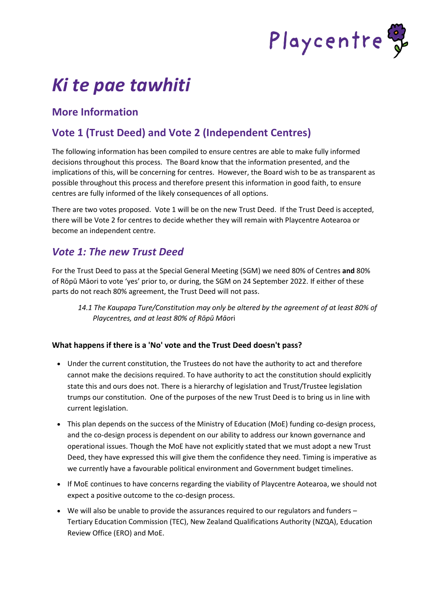

# *Ki te pae tawhiti*

# **More Information**

# **Vote 1 (Trust Deed) and Vote 2 (Independent Centres)**

The following information has been compiled to ensure centres are able to make fully informed decisions throughout this process. The Board know that the information presented, and the implications of this, will be concerning for centres. However, the Board wish to be as transparent as possible throughout this process and therefore present this information in good faith, to ensure centres are fully informed of the likely consequences of all options.

There are two votes proposed. Vote 1 will be on the new Trust Deed. If the Trust Deed is accepted, there will be Vote 2 for centres to decide whether they will remain with Playcentre Aotearoa or become an independent centre.

# *Vote 1: The new Trust Deed*

For the Trust Deed to pass at the Special General Meeting (SGM) we need 80% of Centres **and** 80% of Rōpū Māori to vote 'yes' prior to, or during, the SGM on 24 September 2022. If either of these parts do not reach 80% agreement, the Trust Deed will not pass.

*14.1 The Kaupapa Ture/Constitution may only be altered by the agreement of at least 80% of Playcentres, and at least 80% of Rōpū Māo*ri

#### **What happens if there is a 'No' vote and the Trust Deed doesn't pass?**

- Under the current constitution, the Trustees do not have the authority to act and therefore cannot make the decisions required. To have authority to act the constitution should explicitly state this and ours does not. There is a hierarchy of legislation and Trust/Trustee legislation trumps our constitution. One of the purposes of the new Trust Deed is to bring us in line with current legislation.
- This plan depends on the success of the Ministry of Education (MoE) funding co-design process, and the co-design process is dependent on our ability to address our known governance and operational issues. Though the MoE have not explicitly stated that we must adopt a new Trust Deed, they have expressed this will give them the confidence they need. Timing is imperative as we currently have a favourable political environment and Government budget timelines.
- If MoE continues to have concerns regarding the viability of Playcentre Aotearoa, we should not expect a positive outcome to the co-design process.
- We will also be unable to provide the assurances required to our regulators and funders Tertiary Education Commission (TEC), New Zealand Qualifications Authority (NZQA), Education Review Office (ERO) and MoE.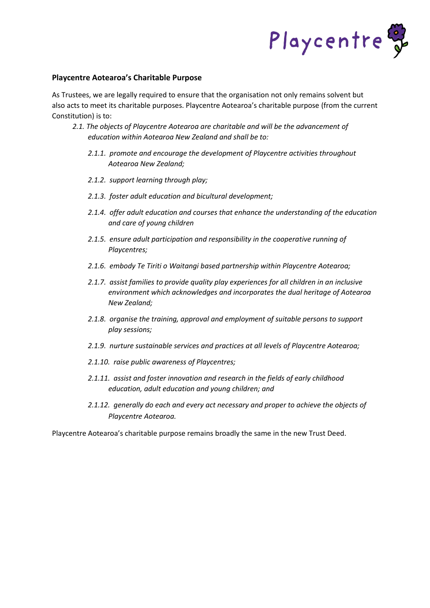

#### **Playcentre Aotearoa's Charitable Purpose**

As Trustees, we are legally required to ensure that the organisation not only remains solvent but also acts to meet its charitable purposes. Playcentre Aotearoa's charitable purpose (from the current Constitution) is to:

- *2.1. The objects of Playcentre Aotearoa are charitable and will be the advancement of education within Aotearoa New Zealand and shall be to:*
	- *2.1.1. promote and encourage the development of Playcentre activities throughout Aotearoa New Zealand;*
	- *2.1.2. support learning through play;*
	- *2.1.3. foster adult education and bicultural development;*
	- *2.1.4. offer adult education and courses that enhance the understanding of the education and care of young children*
	- *2.1.5. ensure adult participation and responsibility in the cooperative running of Playcentres;*
	- *2.1.6. embody Te Tiriti o Waitangi based partnership within Playcentre Aotearoa;*
	- *2.1.7. assist families to provide quality play experiences for all children in an inclusive environment which acknowledges and incorporates the dual heritage of Aotearoa New Zealand;*
	- *2.1.8. organise the training, approval and employment of suitable persons to support play sessions;*
	- *2.1.9. nurture sustainable services and practices at all levels of Playcentre Aotearoa;*
	- *2.1.10. raise public awareness of Playcentres;*
	- *2.1.11. assist and foster innovation and research in the fields of early childhood education, adult education and young children; and*
	- *2.1.12. generally do each and every act necessary and proper to achieve the objects of Playcentre Aotearoa.*

Playcentre Aotearoa's charitable purpose remains broadly the same in the new Trust Deed.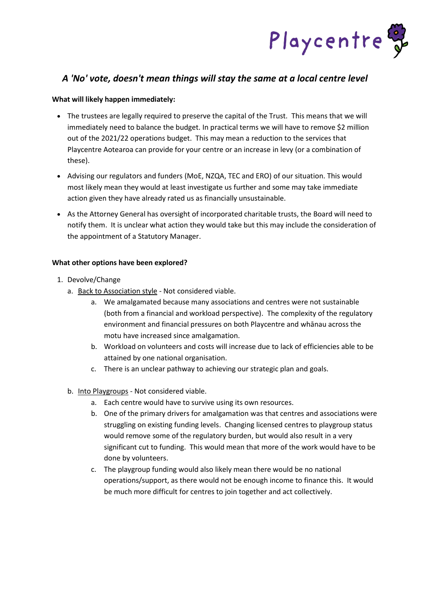

### *A 'No' vote, doesn't mean things will stay the same at a local centre level*

#### **What will likely happen immediately:**

- The trustees are legally required to preserve the capital of the Trust. This means that we will immediately need to balance the budget. In practical terms we will have to remove \$2 million out of the 2021/22 operations budget. This may mean a reduction to the services that Playcentre Aotearoa can provide for your centre or an increase in levy (or a combination of these).
- Advising our regulators and funders (MoE, NZQA, TEC and ERO) of our situation. This would most likely mean they would at least investigate us further and some may take immediate action given they have already rated us as financially unsustainable.
- As the Attorney General has oversight of incorporated charitable trusts, the Board will need to notify them. It is unclear what action they would take but this may include the consideration of the appointment of a Statutory Manager.

#### **What other options have been explored?**

- 1. Devolve/Change
	- a. Back to Association style Not considered viable.
		- a. We amalgamated because many associations and centres were not sustainable (both from a financial and workload perspective). The complexity of the regulatory environment and financial pressures on both Playcentre and whānau across the motu have increased since amalgamation.
		- b. Workload on volunteers and costs will increase due to lack of efficiencies able to be attained by one national organisation.
		- c. There is an unclear pathway to achieving our strategic plan and goals.
	- b. Into Playgroups Not considered viable.
		- a. Each centre would have to survive using its own resources.
		- b. One of the primary drivers for amalgamation was that centres and associations were struggling on existing funding levels. Changing licensed centres to playgroup status would remove some of the regulatory burden, but would also result in a very significant cut to funding. This would mean that more of the work would have to be done by volunteers.
		- c. The playgroup funding would also likely mean there would be no national operations/support, as there would not be enough income to finance this. It would be much more difficult for centres to join together and act collectively.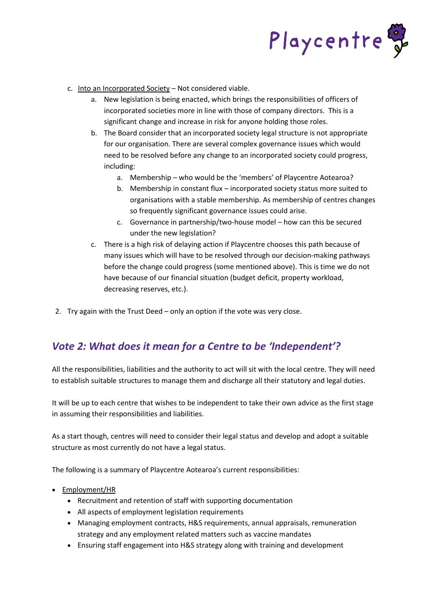

- c. Into an Incorporated Society Not considered viable.
	- a. New legislation is being enacted, which brings the responsibilities of officers of incorporated societies more in line with those of company directors. This is a significant change and increase in risk for anyone holding those roles.
	- b. The Board consider that an incorporated society legal structure is not appropriate for our organisation. There are several complex governance issues which would need to be resolved before any change to an incorporated society could progress, including:
		- a. Membership who would be the 'members' of Playcentre Aotearoa?
		- b. Membership in constant flux incorporated society status more suited to organisations with a stable membership. As membership of centres changes so frequently significant governance issues could arise.
		- c. Governance in partnership/two-house model how can this be secured under the new legislation?
	- c. There is a high risk of delaying action if Playcentre chooses this path because of many issues which will have to be resolved through our decision-making pathways before the change could progress (some mentioned above). This is time we do not have because of our financial situation (budget deficit, property workload, decreasing reserves, etc.).
- 2. Try again with the Trust Deed only an option if the vote was very close.

## *Vote 2: What does it mean for a Centre to be 'Independent'?*

All the responsibilities, liabilities and the authority to act will sit with the local centre. They will need to establish suitable structures to manage them and discharge all their statutory and legal duties.

It will be up to each centre that wishes to be independent to take their own advice as the first stage in assuming their responsibilities and liabilities.

As a start though, centres will need to consider their legal status and develop and adopt a suitable structure as most currently do not have a legal status.

The following is a summary of Playcentre Aotearoa's current responsibilities:

- Employment/HR
	- Recruitment and retention of staff with supporting documentation
	- All aspects of employment legislation requirements
	- Managing employment contracts, H&S requirements, annual appraisals, remuneration strategy and any employment related matters such as vaccine mandates
	- Ensuring staff engagement into H&S strategy along with training and development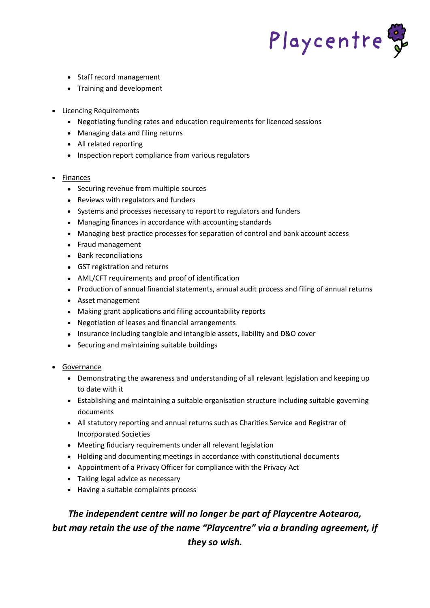

- Staff record management
- Training and development
- Licencing Requirements
	- Negotiating funding rates and education requirements for licenced sessions
	- Managing data and filing returns
	- All related reporting
	- Inspection report compliance from various regulators
- Finances
	- Securing revenue from multiple sources
	- Reviews with regulators and funders
	- Systems and processes necessary to report to regulators and funders
	- Managing finances in accordance with accounting standards
	- Managing best practice processes for separation of control and bank account access
	- Fraud management
	- Bank reconciliations
	- GST registration and returns
	- AML/CFT requirements and proof of identification
	- Production of annual financial statements, annual audit process and filing of annual returns
	- Asset management
	- Making grant applications and filing accountability reports
	- Negotiation of leases and financial arrangements
	- Insurance including tangible and intangible assets, liability and D&O cover
	- Securing and maintaining suitable buildings
- Governance
	- Demonstrating the awareness and understanding of all relevant legislation and keeping up to date with it
	- Establishing and maintaining a suitable organisation structure including suitable governing documents
	- All statutory reporting and annual returns such as Charities Service and Registrar of Incorporated Societies
	- Meeting fiduciary requirements under all relevant legislation
	- Holding and documenting meetings in accordance with constitutional documents
	- Appointment of a Privacy Officer for compliance with the Privacy Act
	- Taking legal advice as necessary
	- Having a suitable complaints process

# *The independent centre will no longer be part of Playcentre Aotearoa, but may retain the use of the name "Playcentre" via a branding agreement, if they so wish.*